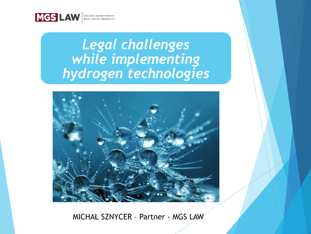

# *Legal challenges while implementing hydrogen technologies*



MICHAŁ SZNYCER – Partner - MGS LAW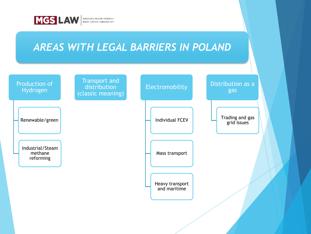

## *AREAS WITH LEGAL BARRIERS IN POLAND*

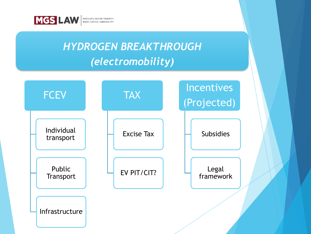

# *HYDROGEN BREAKTHROUGH (electromobility)*

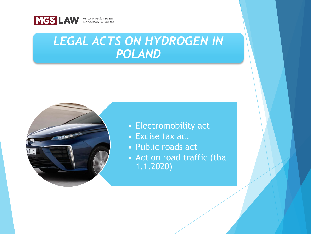

## *LEGAL ACTS ON HYDROGEN IN POLAND*



- Electromobility act
- Excise tax act
- Public roads act
- Act on road traffic (tba 1.1.2020)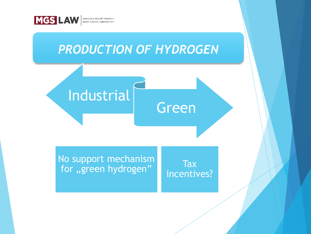

## *PRODUCTION OF HYDROGEN*

Industrial

No support mechanism  $\begin{array}{c} \text{Two support inclusion of } \mathbb{R} \\ \text{for }, \text{green hydrogen''} \end{array}$ 

incentives?

Green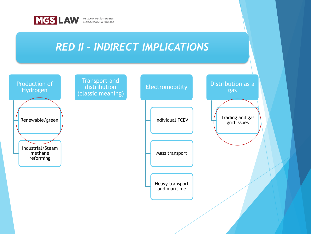

## *RED II – INDIRECT IMPLICATIONS*

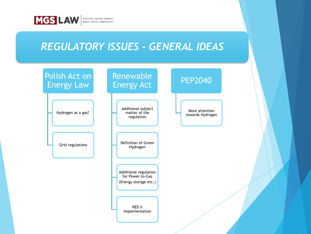

## *REGULATORY ISSUES - GENERAL IDEAS*